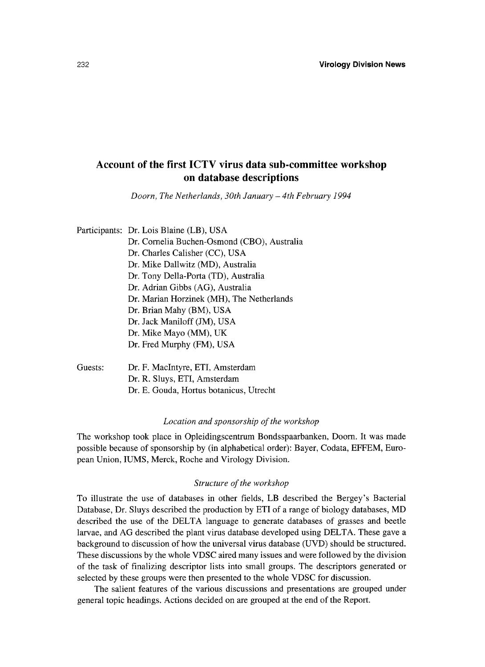# **Account of** the first ICTV virus **data sub-committee** workshop **on database descriptions**

*Doorn, The Netherlands, 30th January - 4th February 1994* 

Participants: Dr. Lois Blaine (LB), USA

Dr. Cornelia Buchen-Osmond (CBO), Australia

Dr. Charles Calisher (CC), USA

Dr. Mike Dallwitz (MD), Australia

Dr. Tony Della-Porta (TD), Australia

Dr. Adrian Gibbs (AG), Australia

Dr. Marian Horzinek (MH), The Netherlands

Dr. Brian Mahy (BM), USA

Dr. Jack Maniloff (JM), USA

Dr. Mike Mayo (MM), UK

Dr. Fred Murphy (FM), USA

Guests: Dr. F. MacIntyre, ETI, Amsterdam Dr. R. Sluys, ETI, Amsterdam Dr. E. Gouda, Hortus botanicus, Utrecht

#### *Location and sponsorship of the workshop*

The workshop took place in Opleidingscentrum Bondsspaarbanken, Doom. It was made possible because of sponsorship by (in alphabetical order): Bayer, Codata, EFFEM, European Union, IUMS, Merck, Roche and Virology Division.

#### *Structure of the workshop*

To illustrate the use of databases in other fields, LB described the Bergey's Bacterial Database, Dr. Sluys described the production by ETI of a range of biology databases, MD described the use of the DELTA language to generate databases of grasses and beetle larvae, and AG described the plant virus database developed using DELTA. These gave a background to discussion of how the universal virus database (UVD) should be structured. These discussions by the whole VDSC aired many issues and were followed by the division of the task of finalizing descriptor lists into small groups. The descriptors generated or selected by these groups were then presented to the whole VDSC for discussion.

The salient features of the various discussions and presentations are grouped under general topic headings. Actions decided on are grouped at the end of the Report.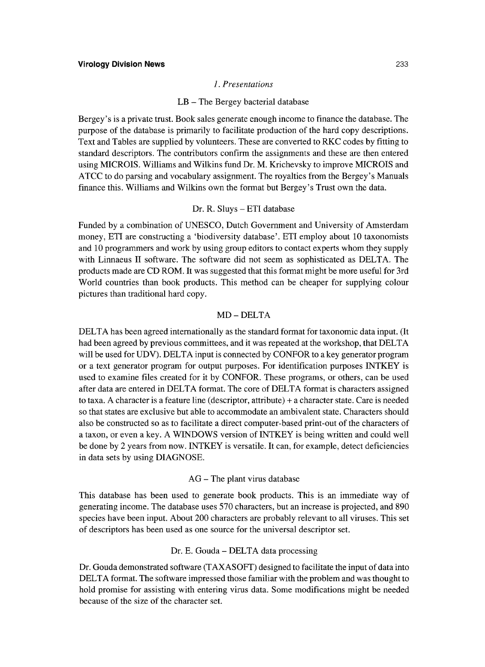#### *l. Presentations*

#### LB - The Bergey bacterial database

Bergey's is a private trust. Book sales generate enough income to finance the database. The purpose of the database is primarily to facilitate production of the hard copy descriptions. Text and Tables are supplied by volunteers. These are converted to RKC codes by fitting to standard descriptors. The contributors confirm the assignments and these are then entered using MICROIS. Williams and Wilkins fund Dr. M. Krichevsky to improve MICROIS and ATCC to do parsing and vocabulary assignment. The royalties from the Bergey's Manuals finance this. Williams and Wilkins own the format but Bergey's Trust own the data.

#### Dr. R. Sluys - ETI database

Funded by a combination of UNESCO, Dutch Government and University of Amsterdam money, ETI are constructing a 'biodiversity database'. ETI employ about 10 taxonomists and 10 programmers and work by using group editors to contact experts whom they supply with Linnaeus II software. The software did not seem as sophisticated as DELTA. The products made are CD ROM. It was suggested that this format might be more useful for 3rd World countries than book products. This method can be cheaper for supplying colour pictures than traditional hard copy.

#### MD - DELTA

DELTA has been agreed internationally as the standard format for taxonomic data input. (It had been agreed by previous committees, and it was repeated at the workshop, that DELTA will be used for UDV). DELTA input is connected by CONFOR to a key generator program or a text generator program for output purposes. For identification purposes INTKEY is used to examine files created for it by CONFOR. These programs, or others, can be used after data are entered in DELTA format. The core of DELTA format is characters assigned to taxa. A character is a feature line (descriptor, attribute) + a character state. Care is needed so that states are exclusive but able to accommodate an ambivalent state. Characters should also be constructed so as to facilitate a direct computer-based print-out of the characters of a taxon, or even a key. A WINDOWS version of INTKEY is being written and could well be done by 2 years from now. INTKEY is versatile. It can, for example, detect deficiencies in data sets by using DIAGNOSE.

#### AG - The plant virus database

This database has been used to generate book products. This is an immediate way of generating income. The database uses 570 characters, but an increase is projected, and 890 species have been input. About 200 characters are probably relevant to all viruses. This set of descriptors has been used as one source for the universal descriptor set.

#### Dr. E. Gouda – DELTA data processing

Dr. Gouda demonstrated software (TAXASOFT) designed to facilitate the input of data into DELTA format. The software impressed those familiar with the problem and was thought to hold promise for assisting with entering virus data. Some modifications might be needed because of the size of the character set.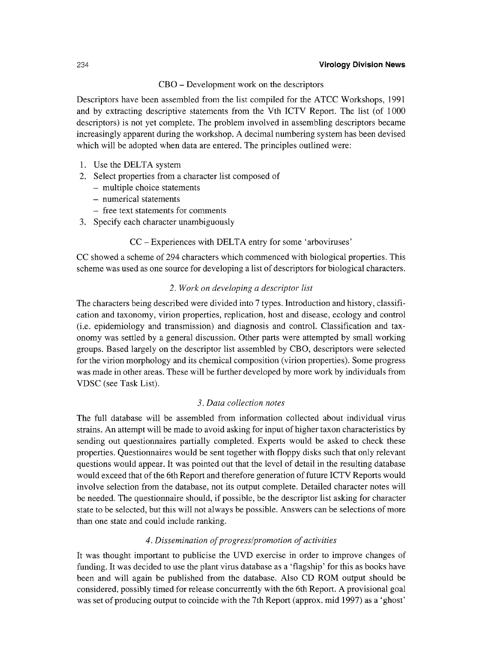### CBO **-** Development work on the descriptors

Descriptors have been assembled from the list compiled for the ATCC Workshops, 1991 and by extracting descriptive statements from the Vth ICTV Report. The list (of 1000 descriptors) is not yet complete. The problem involved in assembling descriptors became increasingly apparent during the workshop. A decimal numbering system has been devised which will be adopted when data are entered. The principles outlined were:

- 1. Use the DELTA system
- 2. Select properties from a character list composed of
	- multiple choice statements
	- numerical statements
	- free text statements for comments
- 3. Specify each character unambiguously

### CC - Experiences with DELTA entry for some 'arboviruses'

CC showed a scheme of 294 characters which commenced with biological properties. This scheme was used as one source for developing a list of descriptors for biological characters.

### *2. Work on developing a descriptor list*

The characters being described were divided into 7 types. Introduction and history, classification and taxonomy, virion properties, replication, host and disease, ecology and control (i.e. epidemiology and transmission) and diagnosis and control. Classification and taxonomy was settled by a general discussion. Other parts were attempted by small working groups. Based largely on the descriptor list assembled by CBO, descriptors were selected for the virion morphology and its chemical composition (virion properties). Some progress was made in other areas. These will be further developed by more work by individuals from VDSC (see Task List).

### *3. Data collection notes*

The full database will be assembled from information collected about individual virus strains. An attempt will be made to avoid asking for input of higher taxon characteristics by sending out questionnaires partially completed. Experts would be asked to check these properties. Questionnaires would be sent together with floppy disks such that only relevant questions would appear. It was pointed out that the level of detail in the resulting database would exceed that of the 6th Report and therefore generation of future ICTV Reports would involve selection from the database, not its output complete. Detailed character notes will be needed. The questionnaire should, if possible, be the descriptor list asking for character state to be selected, but this will not always be possible. Answers can be selections of more than one state and could include ranking.

### *4. Dissemination of progress~promotion of activities*

It was thought important to publicise the UVD exercise in order to improve changes of funding. It was decided to use the plant virus database as a 'flagship' for this as books have been and will again be published from the database. Also CD ROM output should be considered, possibly timed for release concurrently with the 6th Report. A provisional goal was set of producing output to coincide with the 7th Report (approx. mid 1997) as a 'ghost'